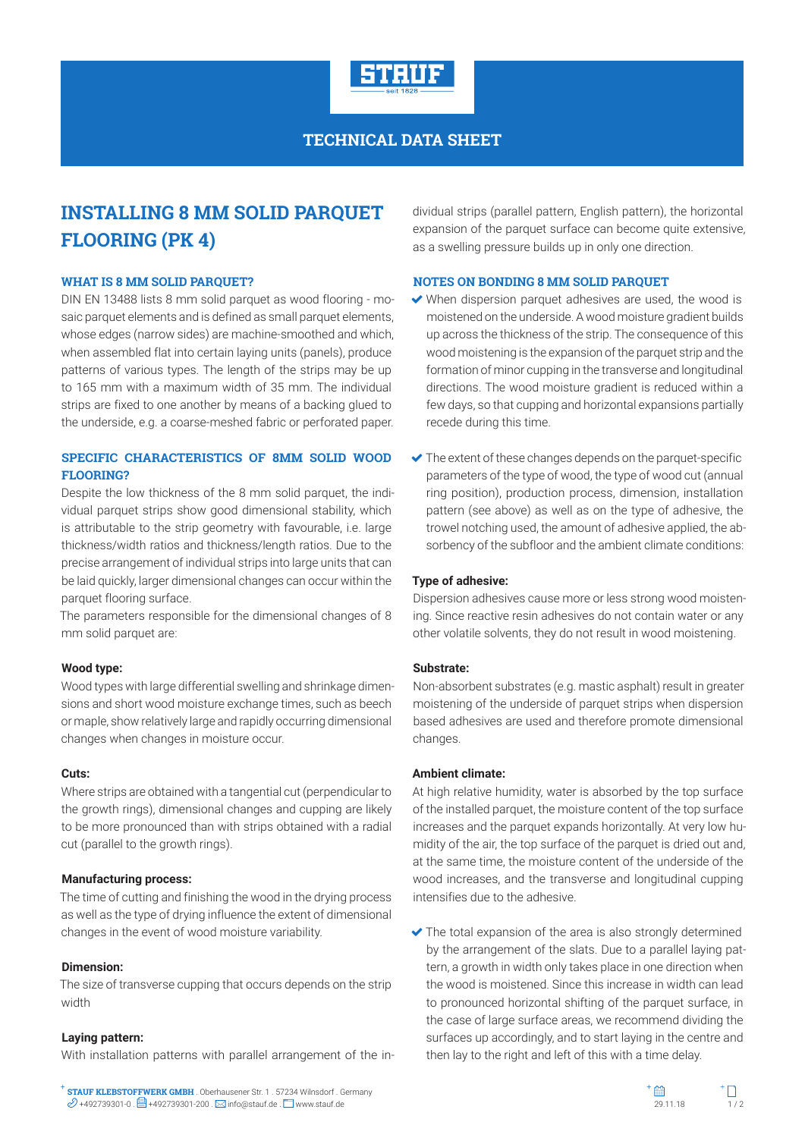

# **TECHNICAL DATA SHEET**

# **INSTALLING 8 MM SOLID PARQUET FLOORING (PK 4)**

## **WHAT IS 8 MM SOLID PARQUET?**

DIN EN 13488 lists 8 mm solid parquet as wood flooring - mosaic parquet elements and is defined as small parquet elements, whose edges (narrow sides) are machine-smoothed and which, when assembled flat into certain laying units (panels), produce patterns of various types. The length of the strips may be up to 165 mm with a maximum width of 35 mm. The individual strips are fixed to one another by means of a backing glued to the underside, e.g. a coarse-meshed fabric or perforated paper.

# **SPECIFIC CHARACTERISTICS OF 8MM SOLID WOOD FLOORING?**

Despite the low thickness of the 8 mm solid parquet, the individual parquet strips show good dimensional stability, which is attributable to the strip geometry with favourable, i.e. large thickness/width ratios and thickness/length ratios. Due to the precise arrangement of individual strips into large units that can be laid quickly, larger dimensional changes can occur within the parquet flooring surface.

The parameters responsible for the dimensional changes of 8 mm solid parquet are:

## **Wood type:**

Wood types with large differential swelling and shrinkage dimensions and short wood moisture exchange times, such as beech or maple, show relatively large and rapidly occurring dimensional changes when changes in moisture occur.

#### **Cuts:**

Where strips are obtained with a tangential cut (perpendicular to the growth rings), dimensional changes and cupping are likely to be more pronounced than with strips obtained with a radial cut (parallel to the growth rings).

#### **Manufacturing process:**

The time of cutting and finishing the wood in the drying process as well as the type of drying influence the extent of dimensional changes in the event of wood moisture variability.

#### **Dimension:**

The size of transverse cupping that occurs depends on the strip width

#### **Laying pattern:**

With installation patterns with parallel arrangement of the in-

dividual strips (parallel pattern, English pattern), the horizontal expansion of the parquet surface can become quite extensive, as a swelling pressure builds up in only one direction.

## **NOTES ON BONDING 8 MM SOLID PARQUET**

- When dispersion parquet adhesives are used, the wood is moistened on the underside. A wood moisture gradient builds up across the thickness of the strip. The consequence of this wood moistening is the expansion of the parquet strip and the formation of minor cupping in the transverse and longitudinal directions. The wood moisture gradient is reduced within a few days, so that cupping and horizontal expansions partially recede during this time.
- $\blacktriangleright$  The extent of these changes depends on the parquet-specific parameters of the type of wood, the type of wood cut (annual ring position), production process, dimension, installation pattern (see above) as well as on the type of adhesive, the trowel notching used, the amount of adhesive applied, the absorbency of the subfloor and the ambient climate conditions:

## **Type of adhesive:**

Dispersion adhesives cause more or less strong wood moistening. Since reactive resin adhesives do not contain water or any other volatile solvents, they do not result in wood moistening.

#### **Substrate:**

Non-absorbent substrates (e.g. mastic asphalt) result in greater moistening of the underside of parquet strips when dispersion based adhesives are used and therefore promote dimensional changes.

#### **Ambient climate:**

At high relative humidity, water is absorbed by the top surface of the installed parquet, the moisture content of the top surface increases and the parquet expands horizontally. At very low humidity of the air, the top surface of the parquet is dried out and, at the same time, the moisture content of the underside of the wood increases, and the transverse and longitudinal cupping intensifies due to the adhesive.

 The total expansion of the area is also strongly determined by the arrangement of the slats. Due to a parallel laying pattern, a growth in width only takes place in one direction when the wood is moistened. Since this increase in width can lead to pronounced horizontal shifting of the parquet surface, in the case of large surface areas, we recommend dividing the surfaces up accordingly, and to start laying in the centre and then lay to the right and left of this with a time delay.